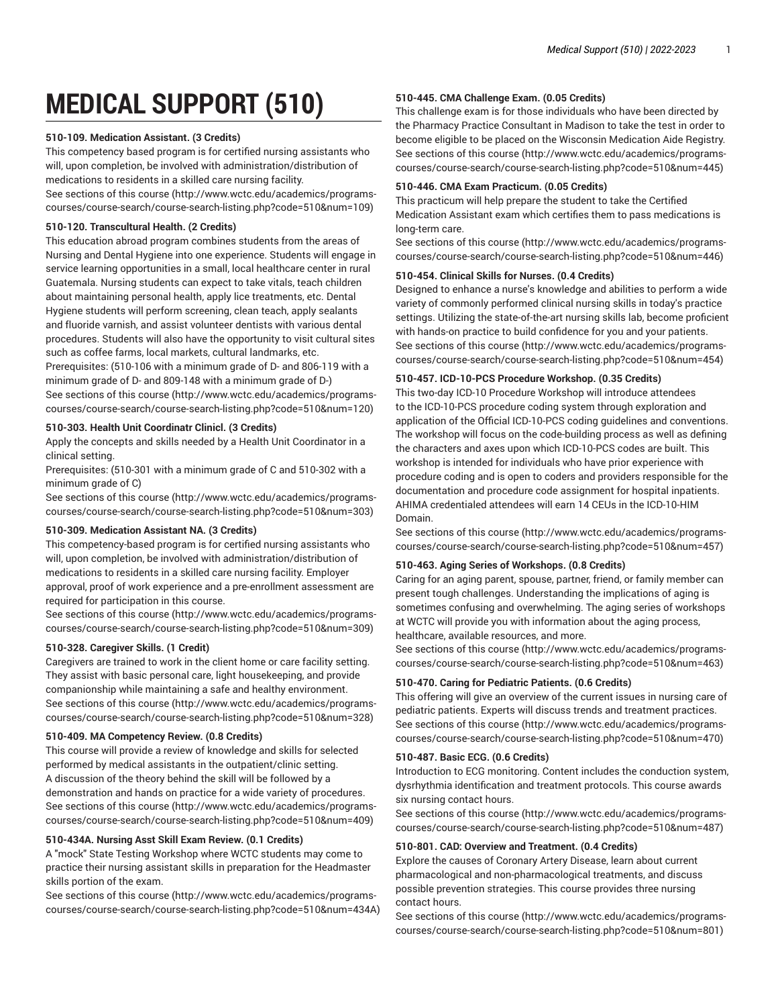# **MEDICAL SUPPORT (510)**

# **510-109. Medication Assistant. (3 Credits)**

This competency based program is for certified nursing assistants who will, upon completion, be involved with administration/distribution of medications to residents in a skilled care nursing facility. [See sections of this course](http://www.wctc.edu/academics/programs-courses/course-search/course-search-listing.php?code=510&num=109) ([http://www.wctc.edu/academics/programs](http://www.wctc.edu/academics/programs-courses/course-search/course-search-listing.php?code=510&num=109)[courses/course-search/course-search-listing.php?code=510&num=109](http://www.wctc.edu/academics/programs-courses/course-search/course-search-listing.php?code=510&num=109))

# **510-120. Transcultural Health. (2 Credits)**

This education abroad program combines students from the areas of Nursing and Dental Hygiene into one experience. Students will engage in service learning opportunities in a small, local healthcare center in rural Guatemala. Nursing students can expect to take vitals, teach children about maintaining personal health, apply lice treatments, etc. Dental Hygiene students will perform screening, clean teach, apply sealants and fluoride varnish, and assist volunteer dentists with various dental procedures. Students will also have the opportunity to visit cultural sites such as coffee farms, local markets, cultural landmarks, etc. Prerequisites: (510-106 with a minimum grade of D- and 806-119 with a

minimum grade of D- and 809-148 with a minimum grade of D-) [See sections of this course](http://www.wctc.edu/academics/programs-courses/course-search/course-search-listing.php?code=510&num=120) ([http://www.wctc.edu/academics/programs](http://www.wctc.edu/academics/programs-courses/course-search/course-search-listing.php?code=510&num=120)[courses/course-search/course-search-listing.php?code=510&num=120](http://www.wctc.edu/academics/programs-courses/course-search/course-search-listing.php?code=510&num=120))

# **510-303. Health Unit Coordinatr Clinicl. (3 Credits)**

Apply the concepts and skills needed by a Health Unit Coordinator in a clinical setting.

Prerequisites: (510-301 with a minimum grade of C and 510-302 with a minimum grade of C)

[See sections of this course](http://www.wctc.edu/academics/programs-courses/course-search/course-search-listing.php?code=510&num=303) ([http://www.wctc.edu/academics/programs](http://www.wctc.edu/academics/programs-courses/course-search/course-search-listing.php?code=510&num=303)[courses/course-search/course-search-listing.php?code=510&num=303](http://www.wctc.edu/academics/programs-courses/course-search/course-search-listing.php?code=510&num=303))

# **510-309. Medication Assistant NA. (3 Credits)**

This competency-based program is for certified nursing assistants who will, upon completion, be involved with administration/distribution of medications to residents in a skilled care nursing facility. Employer approval, proof of work experience and a pre-enrollment assessment are required for participation in this course.

[See sections of this course](http://www.wctc.edu/academics/programs-courses/course-search/course-search-listing.php?code=510&num=309) ([http://www.wctc.edu/academics/programs](http://www.wctc.edu/academics/programs-courses/course-search/course-search-listing.php?code=510&num=309)[courses/course-search/course-search-listing.php?code=510&num=309](http://www.wctc.edu/academics/programs-courses/course-search/course-search-listing.php?code=510&num=309))

# **510-328. Caregiver Skills. (1 Credit)**

Caregivers are trained to work in the client home or care facility setting. They assist with basic personal care, light housekeeping, and provide companionship while maintaining a safe and healthy environment. [See sections of this course](http://www.wctc.edu/academics/programs-courses/course-search/course-search-listing.php?code=510&num=328) ([http://www.wctc.edu/academics/programs](http://www.wctc.edu/academics/programs-courses/course-search/course-search-listing.php?code=510&num=328)[courses/course-search/course-search-listing.php?code=510&num=328](http://www.wctc.edu/academics/programs-courses/course-search/course-search-listing.php?code=510&num=328))

# **510-409. MA Competency Review. (0.8 Credits)**

This course will provide a review of knowledge and skills for selected performed by medical assistants in the outpatient/clinic setting. A discussion of the theory behind the skill will be followed by a demonstration and hands on practice for a wide variety of procedures. [See sections of this course](http://www.wctc.edu/academics/programs-courses/course-search/course-search-listing.php?code=510&num=409) ([http://www.wctc.edu/academics/programs](http://www.wctc.edu/academics/programs-courses/course-search/course-search-listing.php?code=510&num=409)[courses/course-search/course-search-listing.php?code=510&num=409](http://www.wctc.edu/academics/programs-courses/course-search/course-search-listing.php?code=510&num=409))

# **510-434A. Nursing Asst Skill Exam Review. (0.1 Credits)**

A "mock" State Testing Workshop where WCTC students may come to practice their nursing assistant skills in preparation for the Headmaster skills portion of the exam.

[See sections of this course](http://www.wctc.edu/academics/programs-courses/course-search/course-search-listing.php?code=510&num=434A) ([http://www.wctc.edu/academics/programs](http://www.wctc.edu/academics/programs-courses/course-search/course-search-listing.php?code=510&num=434A)[courses/course-search/course-search-listing.php?code=510&num=434A\)](http://www.wctc.edu/academics/programs-courses/course-search/course-search-listing.php?code=510&num=434A)

# **510-445. CMA Challenge Exam. (0.05 Credits)**

This challenge exam is for those individuals who have been directed by the Pharmacy Practice Consultant in Madison to take the test in order to become eligible to be placed on the Wisconsin Medication Aide Registry. [See sections of this course \(http://www.wctc.edu/academics/programs](http://www.wctc.edu/academics/programs-courses/course-search/course-search-listing.php?code=510&num=445)[courses/course-search/course-search-listing.php?code=510&num=445\)](http://www.wctc.edu/academics/programs-courses/course-search/course-search-listing.php?code=510&num=445)

# **510-446. CMA Exam Practicum. (0.05 Credits)**

This practicum will help prepare the student to take the Certified Medication Assistant exam which certifies them to pass medications is long-term care.

[See sections of this course \(http://www.wctc.edu/academics/programs](http://www.wctc.edu/academics/programs-courses/course-search/course-search-listing.php?code=510&num=446)[courses/course-search/course-search-listing.php?code=510&num=446\)](http://www.wctc.edu/academics/programs-courses/course-search/course-search-listing.php?code=510&num=446)

# **510-454. Clinical Skills for Nurses. (0.4 Credits)**

Designed to enhance a nurse's knowledge and abilities to perform a wide variety of commonly performed clinical nursing skills in today's practice settings. Utilizing the state-of-the-art nursing skills lab, become proficient with hands-on practice to build confidence for you and your patients. [See sections of this course \(http://www.wctc.edu/academics/programs](http://www.wctc.edu/academics/programs-courses/course-search/course-search-listing.php?code=510&num=454)[courses/course-search/course-search-listing.php?code=510&num=454\)](http://www.wctc.edu/academics/programs-courses/course-search/course-search-listing.php?code=510&num=454)

# **510-457. ICD-10-PCS Procedure Workshop. (0.35 Credits)**

This two-day ICD-10 Procedure Workshop will introduce attendees to the ICD-10-PCS procedure coding system through exploration and application of the Official ICD-10-PCS coding guidelines and conventions. The workshop will focus on the code-building process as well as defining the characters and axes upon which ICD-10-PCS codes are built. This workshop is intended for individuals who have prior experience with procedure coding and is open to coders and providers responsible for the documentation and procedure code assignment for hospital inpatients. AHIMA credentialed attendees will earn 14 CEUs in the ICD-10-HIM Domain.

[See sections of this course \(http://www.wctc.edu/academics/programs](http://www.wctc.edu/academics/programs-courses/course-search/course-search-listing.php?code=510&num=457)[courses/course-search/course-search-listing.php?code=510&num=457\)](http://www.wctc.edu/academics/programs-courses/course-search/course-search-listing.php?code=510&num=457)

# **510-463. Aging Series of Workshops. (0.8 Credits)**

Caring for an aging parent, spouse, partner, friend, or family member can present tough challenges. Understanding the implications of aging is sometimes confusing and overwhelming. The aging series of workshops at WCTC will provide you with information about the aging process, healthcare, available resources, and more.

[See sections of this course \(http://www.wctc.edu/academics/programs](http://www.wctc.edu/academics/programs-courses/course-search/course-search-listing.php?code=510&num=463)[courses/course-search/course-search-listing.php?code=510&num=463\)](http://www.wctc.edu/academics/programs-courses/course-search/course-search-listing.php?code=510&num=463)

# **510-470. Caring for Pediatric Patients. (0.6 Credits)**

This offering will give an overview of the current issues in nursing care of pediatric patients. Experts will discuss trends and treatment practices. [See sections of this course \(http://www.wctc.edu/academics/programs](http://www.wctc.edu/academics/programs-courses/course-search/course-search-listing.php?code=510&num=470)[courses/course-search/course-search-listing.php?code=510&num=470\)](http://www.wctc.edu/academics/programs-courses/course-search/course-search-listing.php?code=510&num=470)

# **510-487. Basic ECG. (0.6 Credits)**

Introduction to ECG monitoring. Content includes the conduction system, dysrhythmia identification and treatment protocols. This course awards six nursing contact hours.

[See sections of this course \(http://www.wctc.edu/academics/programs](http://www.wctc.edu/academics/programs-courses/course-search/course-search-listing.php?code=510&num=487)[courses/course-search/course-search-listing.php?code=510&num=487\)](http://www.wctc.edu/academics/programs-courses/course-search/course-search-listing.php?code=510&num=487)

# **510-801. CAD: Overview and Treatment. (0.4 Credits)**

Explore the causes of Coronary Artery Disease, learn about current pharmacological and non-pharmacological treatments, and discuss possible prevention strategies. This course provides three nursing contact hours.

[See sections of this course \(http://www.wctc.edu/academics/programs](http://www.wctc.edu/academics/programs-courses/course-search/course-search-listing.php?code=510&num=801)[courses/course-search/course-search-listing.php?code=510&num=801\)](http://www.wctc.edu/academics/programs-courses/course-search/course-search-listing.php?code=510&num=801)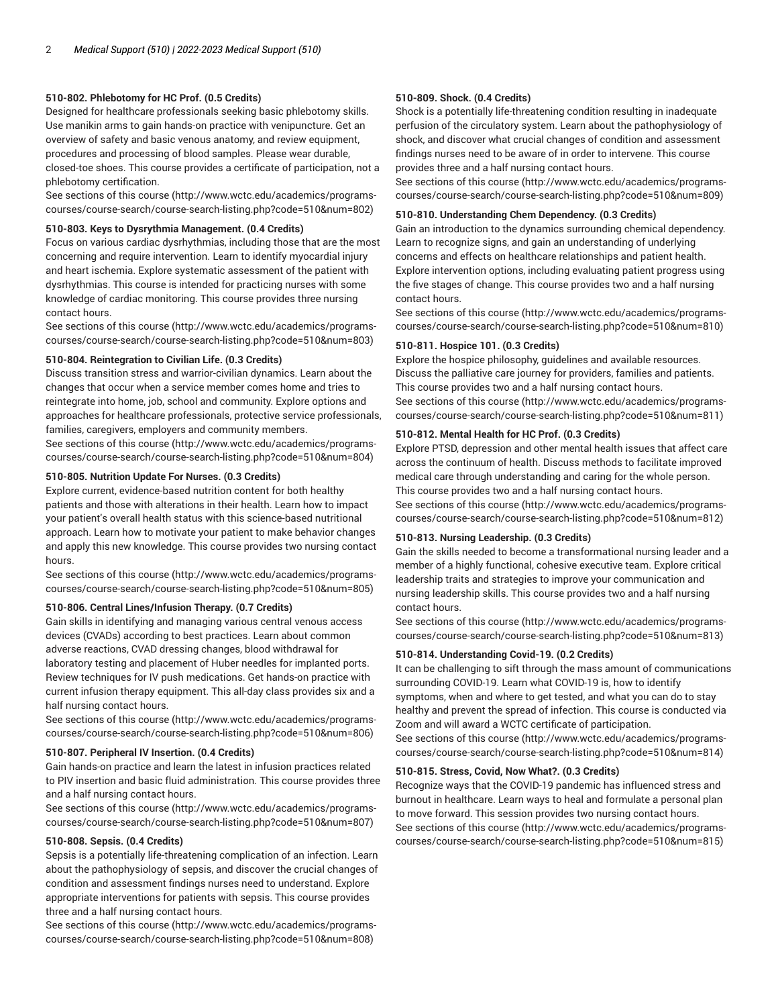# **510-802. Phlebotomy for HC Prof. (0.5 Credits)**

Designed for healthcare professionals seeking basic phlebotomy skills. Use manikin arms to gain hands-on practice with venipuncture. Get an overview of safety and basic venous anatomy, and review equipment, procedures and processing of blood samples. Please wear durable, closed-toe shoes. This course provides a certificate of participation, not a phlebotomy certification.

[See sections of this course](http://www.wctc.edu/academics/programs-courses/course-search/course-search-listing.php?code=510&num=802) ([http://www.wctc.edu/academics/programs](http://www.wctc.edu/academics/programs-courses/course-search/course-search-listing.php?code=510&num=802)[courses/course-search/course-search-listing.php?code=510&num=802](http://www.wctc.edu/academics/programs-courses/course-search/course-search-listing.php?code=510&num=802))

## **510-803. Keys to Dysrythmia Management. (0.4 Credits)**

Focus on various cardiac dysrhythmias, including those that are the most concerning and require intervention. Learn to identify myocardial injury and heart ischemia. Explore systematic assessment of the patient with dysrhythmias. This course is intended for practicing nurses with some knowledge of cardiac monitoring. This course provides three nursing contact hours.

[See sections of this course](http://www.wctc.edu/academics/programs-courses/course-search/course-search-listing.php?code=510&num=803) ([http://www.wctc.edu/academics/programs](http://www.wctc.edu/academics/programs-courses/course-search/course-search-listing.php?code=510&num=803)[courses/course-search/course-search-listing.php?code=510&num=803](http://www.wctc.edu/academics/programs-courses/course-search/course-search-listing.php?code=510&num=803))

## **510-804. Reintegration to Civilian Life. (0.3 Credits)**

Discuss transition stress and warrior-civilian dynamics. Learn about the changes that occur when a service member comes home and tries to reintegrate into home, job, school and community. Explore options and approaches for healthcare professionals, protective service professionals, families, caregivers, employers and community members.

[See sections of this course](http://www.wctc.edu/academics/programs-courses/course-search/course-search-listing.php?code=510&num=804) ([http://www.wctc.edu/academics/programs](http://www.wctc.edu/academics/programs-courses/course-search/course-search-listing.php?code=510&num=804)[courses/course-search/course-search-listing.php?code=510&num=804](http://www.wctc.edu/academics/programs-courses/course-search/course-search-listing.php?code=510&num=804))

# **510-805. Nutrition Update For Nurses. (0.3 Credits)**

Explore current, evidence-based nutrition content for both healthy patients and those with alterations in their health. Learn how to impact your patient's overall health status with this science-based nutritional approach. Learn how to motivate your patient to make behavior changes and apply this new knowledge. This course provides two nursing contact hours.

[See sections of this course](http://www.wctc.edu/academics/programs-courses/course-search/course-search-listing.php?code=510&num=805) ([http://www.wctc.edu/academics/programs](http://www.wctc.edu/academics/programs-courses/course-search/course-search-listing.php?code=510&num=805)[courses/course-search/course-search-listing.php?code=510&num=805](http://www.wctc.edu/academics/programs-courses/course-search/course-search-listing.php?code=510&num=805))

# **510-806. Central Lines/Infusion Therapy. (0.7 Credits)**

Gain skills in identifying and managing various central venous access devices (CVADs) according to best practices. Learn about common adverse reactions, CVAD dressing changes, blood withdrawal for laboratory testing and placement of Huber needles for implanted ports. Review techniques for IV push medications. Get hands-on practice with current infusion therapy equipment. This all-day class provides six and a half nursing contact hours.

[See sections of this course](http://www.wctc.edu/academics/programs-courses/course-search/course-search-listing.php?code=510&num=806) ([http://www.wctc.edu/academics/programs](http://www.wctc.edu/academics/programs-courses/course-search/course-search-listing.php?code=510&num=806)[courses/course-search/course-search-listing.php?code=510&num=806](http://www.wctc.edu/academics/programs-courses/course-search/course-search-listing.php?code=510&num=806))

#### **510-807. Peripheral IV Insertion. (0.4 Credits)**

Gain hands-on practice and learn the latest in infusion practices related to PIV insertion and basic fluid administration. This course provides three and a half nursing contact hours.

[See sections of this course](http://www.wctc.edu/academics/programs-courses/course-search/course-search-listing.php?code=510&num=807) ([http://www.wctc.edu/academics/programs](http://www.wctc.edu/academics/programs-courses/course-search/course-search-listing.php?code=510&num=807)[courses/course-search/course-search-listing.php?code=510&num=807](http://www.wctc.edu/academics/programs-courses/course-search/course-search-listing.php?code=510&num=807))

## **510-808. Sepsis. (0.4 Credits)**

Sepsis is a potentially life-threatening complication of an infection. Learn about the pathophysiology of sepsis, and discover the crucial changes of condition and assessment findings nurses need to understand. Explore appropriate interventions for patients with sepsis. This course provides three and a half nursing contact hours.

[See sections of this course](http://www.wctc.edu/academics/programs-courses/course-search/course-search-listing.php?code=510&num=808) ([http://www.wctc.edu/academics/programs](http://www.wctc.edu/academics/programs-courses/course-search/course-search-listing.php?code=510&num=808)[courses/course-search/course-search-listing.php?code=510&num=808](http://www.wctc.edu/academics/programs-courses/course-search/course-search-listing.php?code=510&num=808))

## **510-809. Shock. (0.4 Credits)**

Shock is a potentially life-threatening condition resulting in inadequate perfusion of the circulatory system. Learn about the pathophysiology of shock, and discover what crucial changes of condition and assessment findings nurses need to be aware of in order to intervene. This course provides three and a half nursing contact hours.

[See sections of this course \(http://www.wctc.edu/academics/programs](http://www.wctc.edu/academics/programs-courses/course-search/course-search-listing.php?code=510&num=809)[courses/course-search/course-search-listing.php?code=510&num=809\)](http://www.wctc.edu/academics/programs-courses/course-search/course-search-listing.php?code=510&num=809)

## **510-810. Understanding Chem Dependency. (0.3 Credits)**

Gain an introduction to the dynamics surrounding chemical dependency. Learn to recognize signs, and gain an understanding of underlying concerns and effects on healthcare relationships and patient health. Explore intervention options, including evaluating patient progress using the five stages of change. This course provides two and a half nursing contact hours.

[See sections of this course \(http://www.wctc.edu/academics/programs](http://www.wctc.edu/academics/programs-courses/course-search/course-search-listing.php?code=510&num=810)[courses/course-search/course-search-listing.php?code=510&num=810\)](http://www.wctc.edu/academics/programs-courses/course-search/course-search-listing.php?code=510&num=810)

## **510-811. Hospice 101. (0.3 Credits)**

Explore the hospice philosophy, guidelines and available resources. Discuss the palliative care journey for providers, families and patients. This course provides two and a half nursing contact hours. [See sections of this course \(http://www.wctc.edu/academics/programs](http://www.wctc.edu/academics/programs-courses/course-search/course-search-listing.php?code=510&num=811)[courses/course-search/course-search-listing.php?code=510&num=811\)](http://www.wctc.edu/academics/programs-courses/course-search/course-search-listing.php?code=510&num=811)

# **510-812. Mental Health for HC Prof. (0.3 Credits)**

Explore PTSD, depression and other mental health issues that affect care across the continuum of health. Discuss methods to facilitate improved medical care through understanding and caring for the whole person. This course provides two and a half nursing contact hours. [See sections of this course \(http://www.wctc.edu/academics/programs-](http://www.wctc.edu/academics/programs-courses/course-search/course-search-listing.php?code=510&num=812)

[courses/course-search/course-search-listing.php?code=510&num=812\)](http://www.wctc.edu/academics/programs-courses/course-search/course-search-listing.php?code=510&num=812)

# **510-813. Nursing Leadership. (0.3 Credits)**

Gain the skills needed to become a transformational nursing leader and a member of a highly functional, cohesive executive team. Explore critical leadership traits and strategies to improve your communication and nursing leadership skills. This course provides two and a half nursing contact hours.

[See sections of this course \(http://www.wctc.edu/academics/programs](http://www.wctc.edu/academics/programs-courses/course-search/course-search-listing.php?code=510&num=813)[courses/course-search/course-search-listing.php?code=510&num=813\)](http://www.wctc.edu/academics/programs-courses/course-search/course-search-listing.php?code=510&num=813)

## **510-814. Understanding Covid-19. (0.2 Credits)**

It can be challenging to sift through the mass amount of communications surrounding COVID-19. Learn what COVID-19 is, how to identify symptoms, when and where to get tested, and what you can do to stay healthy and prevent the spread of infection. This course is conducted via Zoom and will award a WCTC certificate of participation.

[See sections of this course \(http://www.wctc.edu/academics/programs](http://www.wctc.edu/academics/programs-courses/course-search/course-search-listing.php?code=510&num=814)[courses/course-search/course-search-listing.php?code=510&num=814\)](http://www.wctc.edu/academics/programs-courses/course-search/course-search-listing.php?code=510&num=814)

#### **510-815. Stress, Covid, Now What?. (0.3 Credits)**

Recognize ways that the COVID-19 pandemic has influenced stress and burnout in healthcare. Learn ways to heal and formulate a personal plan to move forward. This session provides two nursing contact hours. [See sections of this course \(http://www.wctc.edu/academics/programs](http://www.wctc.edu/academics/programs-courses/course-search/course-search-listing.php?code=510&num=815)[courses/course-search/course-search-listing.php?code=510&num=815\)](http://www.wctc.edu/academics/programs-courses/course-search/course-search-listing.php?code=510&num=815)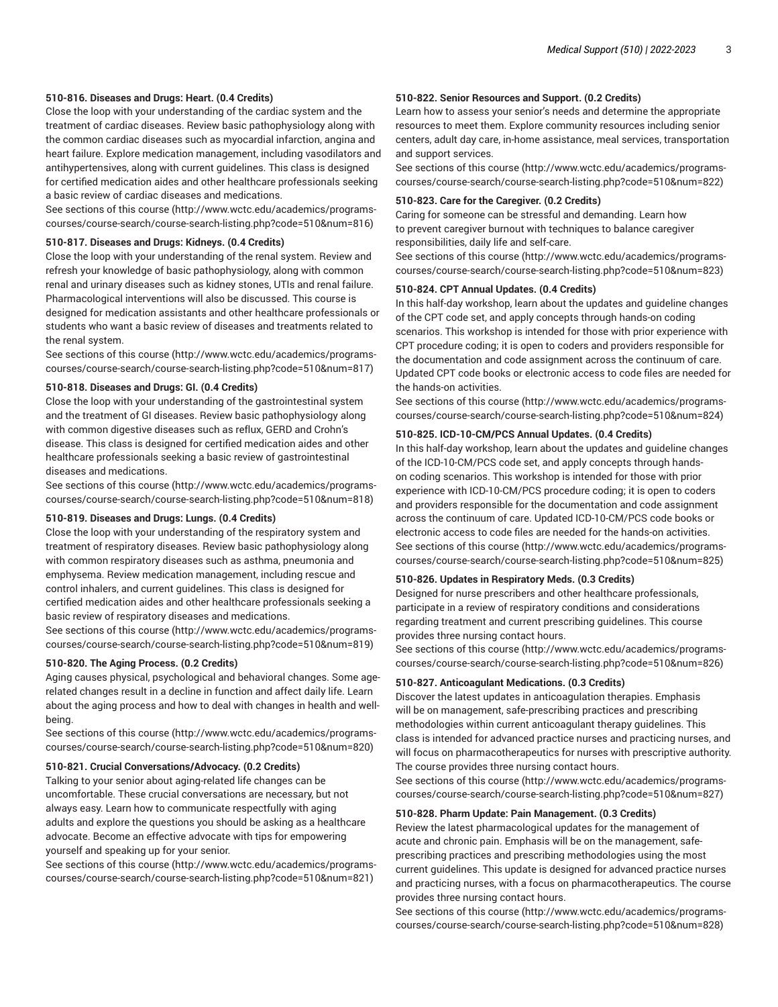## **510-816. Diseases and Drugs: Heart. (0.4 Credits)**

Close the loop with your understanding of the cardiac system and the treatment of cardiac diseases. Review basic pathophysiology along with the common cardiac diseases such as myocardial infarction, angina and heart failure. Explore medication management, including vasodilators and antihypertensives, along with current guidelines. This class is designed for certified medication aides and other healthcare professionals seeking a basic review of cardiac diseases and medications.

[See sections of this course](http://www.wctc.edu/academics/programs-courses/course-search/course-search-listing.php?code=510&num=816) ([http://www.wctc.edu/academics/programs](http://www.wctc.edu/academics/programs-courses/course-search/course-search-listing.php?code=510&num=816)[courses/course-search/course-search-listing.php?code=510&num=816](http://www.wctc.edu/academics/programs-courses/course-search/course-search-listing.php?code=510&num=816))

## **510-817. Diseases and Drugs: Kidneys. (0.4 Credits)**

Close the loop with your understanding of the renal system. Review and refresh your knowledge of basic pathophysiology, along with common renal and urinary diseases such as kidney stones, UTIs and renal failure. Pharmacological interventions will also be discussed. This course is designed for medication assistants and other healthcare professionals or students who want a basic review of diseases and treatments related to the renal system.

[See sections of this course](http://www.wctc.edu/academics/programs-courses/course-search/course-search-listing.php?code=510&num=817) ([http://www.wctc.edu/academics/programs](http://www.wctc.edu/academics/programs-courses/course-search/course-search-listing.php?code=510&num=817)[courses/course-search/course-search-listing.php?code=510&num=817](http://www.wctc.edu/academics/programs-courses/course-search/course-search-listing.php?code=510&num=817))

## **510-818. Diseases and Drugs: GI. (0.4 Credits)**

Close the loop with your understanding of the gastrointestinal system and the treatment of GI diseases. Review basic pathophysiology along with common digestive diseases such as reflux, GERD and Crohn's disease. This class is designed for certified medication aides and other healthcare professionals seeking a basic review of gastrointestinal diseases and medications.

[See sections of this course](http://www.wctc.edu/academics/programs-courses/course-search/course-search-listing.php?code=510&num=818) ([http://www.wctc.edu/academics/programs](http://www.wctc.edu/academics/programs-courses/course-search/course-search-listing.php?code=510&num=818)[courses/course-search/course-search-listing.php?code=510&num=818](http://www.wctc.edu/academics/programs-courses/course-search/course-search-listing.php?code=510&num=818))

## **510-819. Diseases and Drugs: Lungs. (0.4 Credits)**

Close the loop with your understanding of the respiratory system and treatment of respiratory diseases. Review basic pathophysiology along with common respiratory diseases such as asthma, pneumonia and emphysema. Review medication management, including rescue and control inhalers, and current guidelines. This class is designed for certified medication aides and other healthcare professionals seeking a basic review of respiratory diseases and medications.

[See sections of this course](http://www.wctc.edu/academics/programs-courses/course-search/course-search-listing.php?code=510&num=819) ([http://www.wctc.edu/academics/programs](http://www.wctc.edu/academics/programs-courses/course-search/course-search-listing.php?code=510&num=819)[courses/course-search/course-search-listing.php?code=510&num=819](http://www.wctc.edu/academics/programs-courses/course-search/course-search-listing.php?code=510&num=819))

## **510-820. The Aging Process. (0.2 Credits)**

Aging causes physical, psychological and behavioral changes. Some agerelated changes result in a decline in function and affect daily life. Learn about the aging process and how to deal with changes in health and wellbeing.

[See sections of this course](http://www.wctc.edu/academics/programs-courses/course-search/course-search-listing.php?code=510&num=820) ([http://www.wctc.edu/academics/programs](http://www.wctc.edu/academics/programs-courses/course-search/course-search-listing.php?code=510&num=820)[courses/course-search/course-search-listing.php?code=510&num=820](http://www.wctc.edu/academics/programs-courses/course-search/course-search-listing.php?code=510&num=820))

## **510-821. Crucial Conversations/Advocacy. (0.2 Credits)**

Talking to your senior about aging-related life changes can be uncomfortable. These crucial conversations are necessary, but not always easy. Learn how to communicate respectfully with aging adults and explore the questions you should be asking as a healthcare advocate. Become an effective advocate with tips for empowering yourself and speaking up for your senior.

[See sections of this course](http://www.wctc.edu/academics/programs-courses/course-search/course-search-listing.php?code=510&num=821) ([http://www.wctc.edu/academics/programs](http://www.wctc.edu/academics/programs-courses/course-search/course-search-listing.php?code=510&num=821)[courses/course-search/course-search-listing.php?code=510&num=821](http://www.wctc.edu/academics/programs-courses/course-search/course-search-listing.php?code=510&num=821))

## **510-822. Senior Resources and Support. (0.2 Credits)**

Learn how to assess your senior's needs and determine the appropriate resources to meet them. Explore community resources including senior centers, adult day care, in-home assistance, meal services, transportation and support services.

[See sections of this course \(http://www.wctc.edu/academics/programs](http://www.wctc.edu/academics/programs-courses/course-search/course-search-listing.php?code=510&num=822)[courses/course-search/course-search-listing.php?code=510&num=822\)](http://www.wctc.edu/academics/programs-courses/course-search/course-search-listing.php?code=510&num=822)

## **510-823. Care for the Caregiver. (0.2 Credits)**

Caring for someone can be stressful and demanding. Learn how to prevent caregiver burnout with techniques to balance caregiver responsibilities, daily life and self-care.

[See sections of this course \(http://www.wctc.edu/academics/programs](http://www.wctc.edu/academics/programs-courses/course-search/course-search-listing.php?code=510&num=823)[courses/course-search/course-search-listing.php?code=510&num=823\)](http://www.wctc.edu/academics/programs-courses/course-search/course-search-listing.php?code=510&num=823)

## **510-824. CPT Annual Updates. (0.4 Credits)**

In this half-day workshop, learn about the updates and guideline changes of the CPT code set, and apply concepts through hands-on coding scenarios. This workshop is intended for those with prior experience with CPT procedure coding; it is open to coders and providers responsible for the documentation and code assignment across the continuum of care. Updated CPT code books or electronic access to code files are needed for the hands-on activities.

[See sections of this course \(http://www.wctc.edu/academics/programs](http://www.wctc.edu/academics/programs-courses/course-search/course-search-listing.php?code=510&num=824)[courses/course-search/course-search-listing.php?code=510&num=824\)](http://www.wctc.edu/academics/programs-courses/course-search/course-search-listing.php?code=510&num=824)

## **510-825. ICD-10-CM/PCS Annual Updates. (0.4 Credits)**

In this half-day workshop, learn about the updates and guideline changes of the ICD-10-CM/PCS code set, and apply concepts through handson coding scenarios. This workshop is intended for those with prior experience with ICD-10-CM/PCS procedure coding; it is open to coders and providers responsible for the documentation and code assignment across the continuum of care. Updated ICD-10-CM/PCS code books or electronic access to code files are needed for the hands-on activities. [See sections of this course \(http://www.wctc.edu/academics/programs](http://www.wctc.edu/academics/programs-courses/course-search/course-search-listing.php?code=510&num=825)[courses/course-search/course-search-listing.php?code=510&num=825\)](http://www.wctc.edu/academics/programs-courses/course-search/course-search-listing.php?code=510&num=825)

## **510-826. Updates in Respiratory Meds. (0.3 Credits)**

Designed for nurse prescribers and other healthcare professionals, participate in a review of respiratory conditions and considerations regarding treatment and current prescribing guidelines. This course provides three nursing contact hours.

[See sections of this course \(http://www.wctc.edu/academics/programs](http://www.wctc.edu/academics/programs-courses/course-search/course-search-listing.php?code=510&num=826)[courses/course-search/course-search-listing.php?code=510&num=826\)](http://www.wctc.edu/academics/programs-courses/course-search/course-search-listing.php?code=510&num=826)

#### **510-827. Anticoagulant Medications. (0.3 Credits)**

Discover the latest updates in anticoagulation therapies. Emphasis will be on management, safe-prescribing practices and prescribing methodologies within current anticoagulant therapy guidelines. This class is intended for advanced practice nurses and practicing nurses, and will focus on pharmacotherapeutics for nurses with prescriptive authority. The course provides three nursing contact hours.

[See sections of this course \(http://www.wctc.edu/academics/programs](http://www.wctc.edu/academics/programs-courses/course-search/course-search-listing.php?code=510&num=827)[courses/course-search/course-search-listing.php?code=510&num=827\)](http://www.wctc.edu/academics/programs-courses/course-search/course-search-listing.php?code=510&num=827)

#### **510-828. Pharm Update: Pain Management. (0.3 Credits)**

Review the latest pharmacological updates for the management of acute and chronic pain. Emphasis will be on the management, safeprescribing practices and prescribing methodologies using the most current guidelines. This update is designed for advanced practice nurses and practicing nurses, with a focus on pharmacotherapeutics. The course provides three nursing contact hours.

[See sections of this course \(http://www.wctc.edu/academics/programs](http://www.wctc.edu/academics/programs-courses/course-search/course-search-listing.php?code=510&num=828)[courses/course-search/course-search-listing.php?code=510&num=828\)](http://www.wctc.edu/academics/programs-courses/course-search/course-search-listing.php?code=510&num=828)